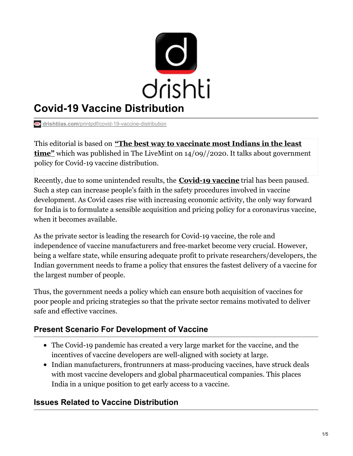

## **Covid-19 Vaccine Distribution**

**drishtiias.com**[/printpdf/covid-19-vaccine-distribution](https://www.drishtiias.com/printpdf/covid-19-vaccine-distribution)

This editorial is based on **"The best way to vaccinate most Indians in the least time"** which was published in The LiveMint on [14/09//2020.](https://www.livemint.com/opinion/columns/the-best-way-to-vaccinate-most-indians-in-the-least-time-11600100665869.html) It talks about government policy for Covid-19 vaccine distribution.

Recently, due to some unintended results, the **[Covid-19](https://www.drishtiias.com/daily-updates/daily-news-analysis/clinical-trial-of-covid-19-vaccine-zycov-d#:~:text=Recently%2C India has started phase,and immunogenicity of the vaccine.) vaccine** trial has been paused. Such a step can increase people's faith in the safety procedures involved in vaccine development. As Covid cases rise with increasing economic activity, the only way forward for India is to formulate a sensible acquisition and pricing policy for a coronavirus vaccine, when it becomes available.

As the private sector is leading the research for Covid-19 vaccine, the role and independence of vaccine manufacturers and free-market become very crucial. However, being a welfare state, while ensuring adequate profit to private researchers/developers, the Indian government needs to frame a policy that ensures the fastest delivery of a vaccine for the largest number of people.

Thus, the government needs a policy which can ensure both acquisition of vaccines for poor people and pricing strategies so that the private sector remains motivated to deliver safe and effective vaccines.

### **Present Scenario For Development of Vaccine**

- The Covid-19 pandemic has created a very large market for the vaccine, and the incentives of vaccine developers are well-aligned with society at large.
- Indian manufacturers, frontrunners at mass-producing vaccines, have struck deals with most vaccine developers and global pharmaceutical companies. This places India in a unique position to get early access to a vaccine.

#### **Issues Related to Vaccine Distribution**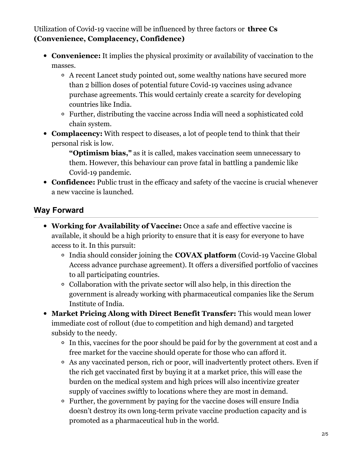Utilization of Covid-19 vaccine will be influenced by three factors or **three Cs (Convenience, Complacency, Confidence)**

- **Convenience:** It implies the physical proximity or availability of vaccination to the masses.
	- A recent Lancet study pointed out, some wealthy nations have secured more than 2 billion doses of potential future Covid-19 vaccines using advance purchase agreements. This would certainly create a scarcity for developing countries like India.
	- Further, distributing the vaccine across India will need a sophisticated cold chain system.
- **Complacency:** With respect to diseases, a lot of people tend to think that their personal risk is low.

**"Optimism bias,"** as it is called, makes vaccination seem unnecessary to them. However, this behaviour can prove fatal in battling a pandemic like Covid-19 pandemic.

**Confidence:** Public trust in the efficacy and safety of the vaccine is crucial whenever a new vaccine is launched.

## **Way Forward**

- **Working for Availability of Vaccine:** Once a safe and effective vaccine is available, it should be a high priority to ensure that it is easy for everyone to have access to it. In this pursuit:
	- India should consider joining the **COVAX platform** (Covid-19 Vaccine Global Access advance purchase agreement). It offers a diversified portfolio of vaccines to all participating countries.
	- Collaboration with the private sector will also help, in this direction the government is already working with pharmaceutical companies like the Serum Institute of India.
- **Market Pricing Along with Direct Benefit Transfer:** This would mean lower immediate cost of rollout (due to competition and high demand) and targeted subsidy to the needy.
	- In this, vaccines for the poor should be paid for by the government at cost and a free market for the vaccine should operate for those who can afford it.
	- As any vaccinated person, rich or poor, will inadvertently protect others. Even if the rich get vaccinated first by buying it at a market price, this will ease the burden on the medical system and high prices will also incentivize greater supply of vaccines swiftly to locations where they are most in demand.
	- Further, the government by paying for the vaccine doses will ensure India doesn't destroy its own long-term private vaccine production capacity and is promoted as a pharmaceutical hub in the world.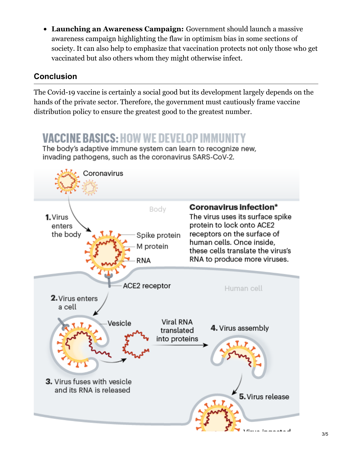**Launching an Awareness Campaign:** Government should launch a massive awareness campaign highlighting the flaw in optimism bias in some sections of society. It can also help to emphasize that vaccination protects not only those who get vaccinated but also others whom they might otherwise infect.

### **Conclusion**

The Covid-19 vaccine is certainly a social good but its development largely depends on the hands of the private sector. Therefore, the government must cautiously frame vaccine distribution policy to ensure the greatest good to the greatest number.

# **VACCINE BASICS: HOW WE DEVELOP IMMU**

The body's adaptive immune system can learn to recognize new, invading pathogens, such as the coronavirus SARS-CoV-2.

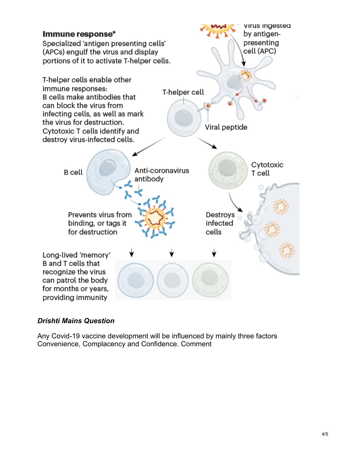

#### *Drishti Mains Question*

Any Covid-19 vaccine development will be influenced by mainly three factors Convenience, Complacency and Confidence. Comment